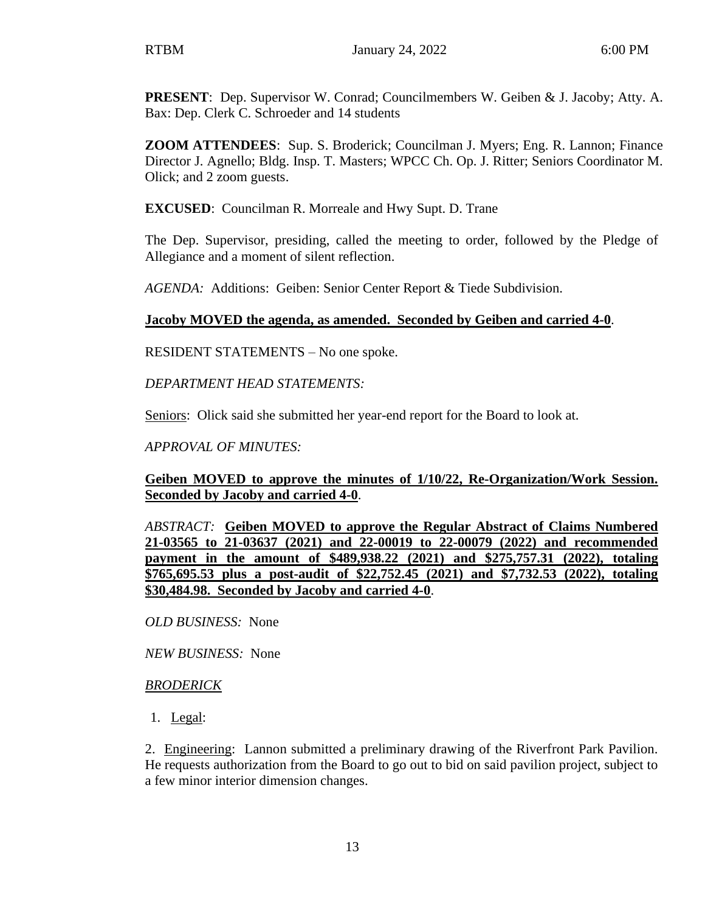**PRESENT**: Dep. Supervisor W. Conrad; Councilmembers W. Geiben & J. Jacoby; Atty. A. Bax: Dep. Clerk C. Schroeder and 14 students

**ZOOM ATTENDEES**: Sup. S. Broderick; Councilman J. Myers; Eng. R. Lannon; Finance Director J. Agnello; Bldg. Insp. T. Masters; WPCC Ch. Op. J. Ritter; Seniors Coordinator M. Olick; and 2 zoom guests.

**EXCUSED**: Councilman R. Morreale and Hwy Supt. D. Trane

The Dep. Supervisor, presiding, called the meeting to order, followed by the Pledge of Allegiance and a moment of silent reflection.

*AGENDA:* Additions: Geiben: Senior Center Report & Tiede Subdivision.

## **Jacoby MOVED the agenda, as amended. Seconded by Geiben and carried 4-0**.

RESIDENT STATEMENTS – No one spoke.

*DEPARTMENT HEAD STATEMENTS:*

Seniors: Olick said she submitted her year-end report for the Board to look at.

*APPROVAL OF MINUTES:* 

**Geiben MOVED to approve the minutes of 1/10/22, Re-Organization/Work Session. Seconded by Jacoby and carried 4-0**.

*ABSTRACT:* **Geiben MOVED to approve the Regular Abstract of Claims Numbered 21-03565 to 21-03637 (2021) and 22-00019 to 22-00079 (2022) and recommended payment in the amount of \$489,938.22 (2021) and \$275,757.31 (2022), totaling \$765,695.53 plus a post-audit of \$22,752.45 (2021) and \$7,732.53 (2022), totaling \$30,484.98. Seconded by Jacoby and carried 4-0**.

*OLD BUSINESS:* None

*NEW BUSINESS:* None

### *BRODERICK*

1. Legal:

2. Engineering: Lannon submitted a preliminary drawing of the Riverfront Park Pavilion. He requests authorization from the Board to go out to bid on said pavilion project, subject to a few minor interior dimension changes.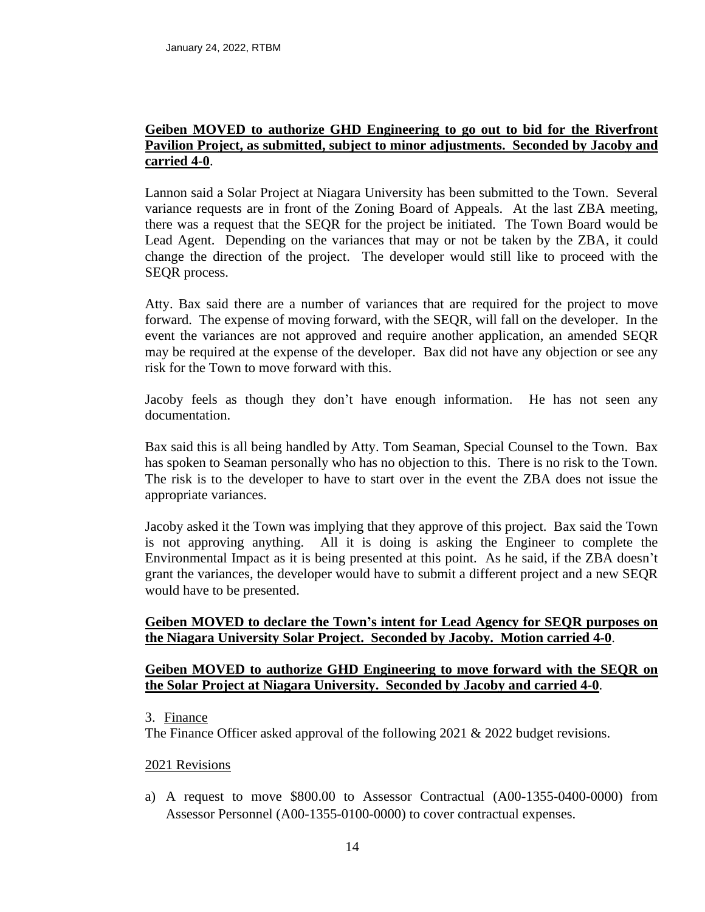### **Geiben MOVED to authorize GHD Engineering to go out to bid for the Riverfront Pavilion Project, as submitted, subject to minor adjustments. Seconded by Jacoby and carried 4-0**.

Lannon said a Solar Project at Niagara University has been submitted to the Town. Several variance requests are in front of the Zoning Board of Appeals. At the last ZBA meeting, there was a request that the SEQR for the project be initiated. The Town Board would be Lead Agent. Depending on the variances that may or not be taken by the ZBA, it could change the direction of the project. The developer would still like to proceed with the SEQR process.

Atty. Bax said there are a number of variances that are required for the project to move forward. The expense of moving forward, with the SEQR, will fall on the developer. In the event the variances are not approved and require another application, an amended SEQR may be required at the expense of the developer. Bax did not have any objection or see any risk for the Town to move forward with this.

Jacoby feels as though they don't have enough information. He has not seen any documentation.

Bax said this is all being handled by Atty. Tom Seaman, Special Counsel to the Town. Bax has spoken to Seaman personally who has no objection to this. There is no risk to the Town. The risk is to the developer to have to start over in the event the ZBA does not issue the appropriate variances.

Jacoby asked it the Town was implying that they approve of this project. Bax said the Town is not approving anything. All it is doing is asking the Engineer to complete the Environmental Impact as it is being presented at this point. As he said, if the ZBA doesn't grant the variances, the developer would have to submit a different project and a new SEQR would have to be presented.

# **Geiben MOVED to declare the Town's intent for Lead Agency for SEQR purposes on the Niagara University Solar Project. Seconded by Jacoby. Motion carried 4-0**.

## **Geiben MOVED to authorize GHD Engineering to move forward with the SEQR on the Solar Project at Niagara University. Seconded by Jacoby and carried 4-0**.

#### 3. Finance

The Finance Officer asked approval of the following 2021 & 2022 budget revisions.

#### 2021 Revisions

a) A request to move \$800.00 to Assessor Contractual (A00-1355-0400-0000) from Assessor Personnel (A00-1355-0100-0000) to cover contractual expenses.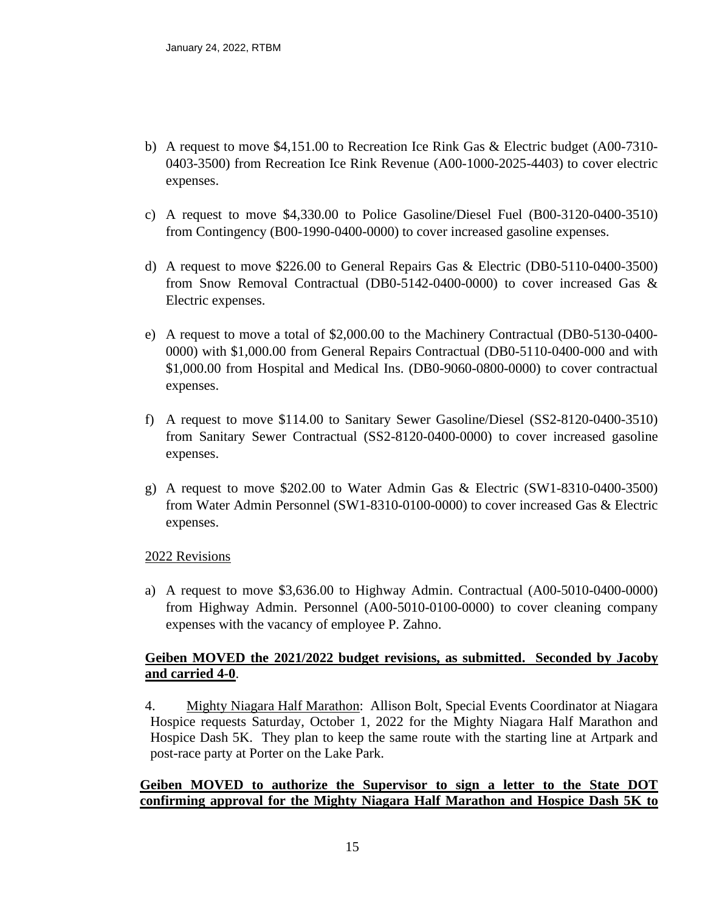- b) A request to move \$4,151.00 to Recreation Ice Rink Gas & Electric budget (A00-7310- 0403-3500) from Recreation Ice Rink Revenue (A00-1000-2025-4403) to cover electric expenses.
- c) A request to move \$4,330.00 to Police Gasoline/Diesel Fuel (B00-3120-0400-3510) from Contingency (B00-1990-0400-0000) to cover increased gasoline expenses.
- d) A request to move \$226.00 to General Repairs Gas & Electric (DB0-5110-0400-3500) from Snow Removal Contractual (DB0-5142-0400-0000) to cover increased Gas & Electric expenses.
- e) A request to move a total of \$2,000.00 to the Machinery Contractual (DB0-5130-0400- 0000) with \$1,000.00 from General Repairs Contractual (DB0-5110-0400-000 and with \$1,000.00 from Hospital and Medical Ins. (DB0-9060-0800-0000) to cover contractual expenses.
- f) A request to move \$114.00 to Sanitary Sewer Gasoline/Diesel (SS2-8120-0400-3510) from Sanitary Sewer Contractual (SS2-8120-0400-0000) to cover increased gasoline expenses.
- g) A request to move \$202.00 to Water Admin Gas & Electric (SW1-8310-0400-3500) from Water Admin Personnel (SW1-8310-0100-0000) to cover increased Gas & Electric expenses.

### 2022 Revisions

a) A request to move \$3,636.00 to Highway Admin. Contractual (A00-5010-0400-0000) from Highway Admin. Personnel (A00-5010-0100-0000) to cover cleaning company expenses with the vacancy of employee P. Zahno.

# **Geiben MOVED the 2021/2022 budget revisions, as submitted. Seconded by Jacoby and carried 4-0**.

4. Mighty Niagara Half Marathon: Allison Bolt, Special Events Coordinator at Niagara Hospice requests Saturday, October 1, 2022 for the Mighty Niagara Half Marathon and Hospice Dash 5K. They plan to keep the same route with the starting line at Artpark and post-race party at Porter on the Lake Park.

# **Geiben MOVED to authorize the Supervisor to sign a letter to the State DOT confirming approval for the Mighty Niagara Half Marathon and Hospice Dash 5K to**